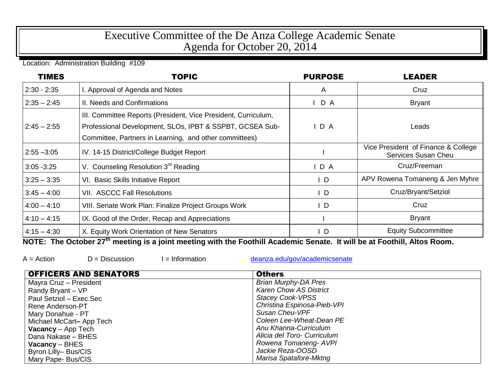## Executive Committee of the De Anza College Academic Senate Agenda for October 20, 2014

Location: Administration Building #109

| <b>TIMES</b>  | <b>TOPIC</b>                                                                                                                                                                         | <b>PURPOSE</b> | <b>LEADER</b>                                              |
|---------------|--------------------------------------------------------------------------------------------------------------------------------------------------------------------------------------|----------------|------------------------------------------------------------|
| $2:30 - 2:35$ | I. Approval of Agenda and Notes                                                                                                                                                      | A              | Cruz                                                       |
| $2:35 - 2:45$ | II. Needs and Confirmations                                                                                                                                                          | D A            | <b>Bryant</b>                                              |
| $2:45 - 2:55$ | III. Committee Reports (President, Vice President, Curriculum,<br>Professional Development, SLOs, IPBT & SSPBT, GCSEA Sub-<br>Committee, Partners in Learning, and other committees) | D A            | Leads                                                      |
| $2:55 - 3:05$ | IV. 14-15 District/College Budget Report                                                                                                                                             |                | Vice President of Finance & College<br>Services Susan Cheu |
| $3:05 - 3:25$ | V. Counseling Resolution 3rd Reading                                                                                                                                                 | $I$ D A        | Cruz/Freeman                                               |
| $3:25 - 3:35$ | VI. Basic Skills Initiative Report                                                                                                                                                   | $\mathsf{I}$   | APV Rowena Tomaneng & Jen Myhre                            |
| $3:45 - 4:00$ | <b>VII. ASCCC Fall Resolutions</b>                                                                                                                                                   | $\mathsf{I}$ D | Cruz/Bryant/Setziol                                        |
| $4:00 - 4:10$ | VIII. Senate Work Plan: Finalize Project Groups Work                                                                                                                                 | $\mathsf{I}$ D | Cruz                                                       |
| $4:10 - 4:15$ | IX. Good of the Order, Recap and Appreciations                                                                                                                                       |                | <b>Bryant</b>                                              |
| $4:15 - 4:30$ | X. Equity Work Orientation of New Senators                                                                                                                                           | $\mathsf{I}$ D | <b>Equity Subcommittee</b>                                 |

**NOTE: The October 27th meeting is a joint meeting with the Foothill Academic Senate. It will be at Foothill, Altos Room.**

 $A =$  Action  $D =$  Discussion I = Information [deanza.edu/gov/academicsenate](http://www.deanza.edu/gov/academicsenate)

| <b>OFFICERS AND SENATORS</b> | <b>Others</b>                 |
|------------------------------|-------------------------------|
| Mayra Cruz - President       | <b>Brian Murphy-DA Pres</b>   |
| Randy Bryant - VP            | <b>Karen Chow AS District</b> |
| Paul Setziol - Exec.Sec      | <b>Stacey Cook-VPSS</b>       |
| Rene Anderson-PT             | Christina Espinosa-Pieb-VPI   |
| Mary Donahue - PT            | Susan Cheu-VPF                |
| Michael McCart-App Tech      | Coleen Lee-Wheat-Dean PE      |
| <b>Vacancy</b> $-$ App Tech  | Anu Khanna-Curriculum         |
| Dana Nakase - BHES           | Alicia del Toro- Curriculum   |
| $Vacancy - BHES$             | Rowena Tomaneng- AVPI         |
| Byron Lilly-Bus/CIS          | Jackie Reza-OOSD              |
| Mary Pape- Bus/CIS           | Marisa Spatafore-Mktng        |